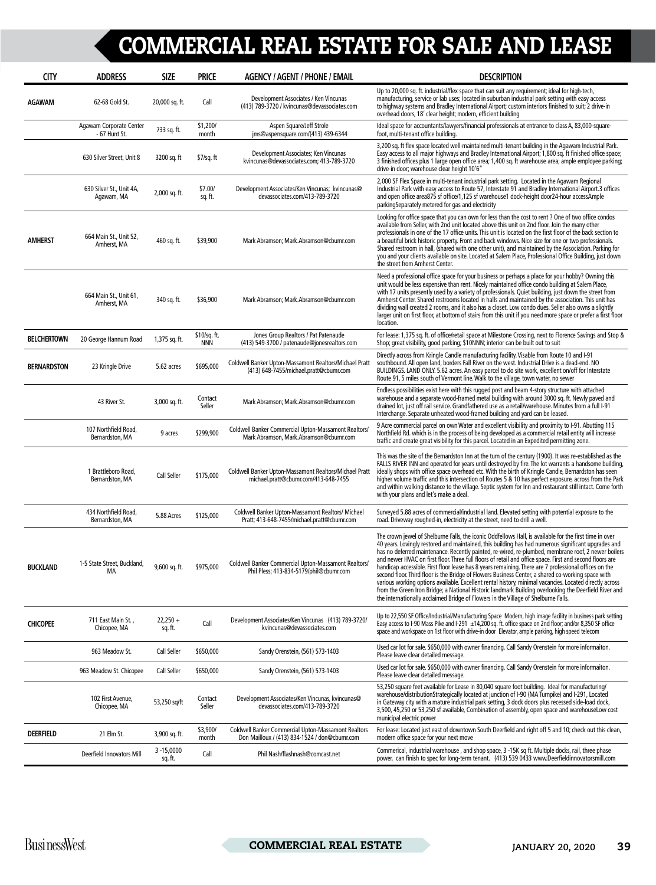| <b>CITY</b>        | <b>ADDRESS</b>                           | <b>SIZE</b>              | <b>PRICE</b>               | <b>AGENCY / AGENT / PHONE / EMAIL</b>                                                                       | <b>DESCRIPTION</b>                                                                                                                                                                                                                                                                                                                                                                                                                                                                                                                                                                                                                                                                                                                                                                                                                                                                                                                                         |
|--------------------|------------------------------------------|--------------------------|----------------------------|-------------------------------------------------------------------------------------------------------------|------------------------------------------------------------------------------------------------------------------------------------------------------------------------------------------------------------------------------------------------------------------------------------------------------------------------------------------------------------------------------------------------------------------------------------------------------------------------------------------------------------------------------------------------------------------------------------------------------------------------------------------------------------------------------------------------------------------------------------------------------------------------------------------------------------------------------------------------------------------------------------------------------------------------------------------------------------|
| <b>AGAWAM</b>      | 62-68 Gold St.                           | 20,000 sq. ft.           | Call                       | Development Associates / Ken Vincunas<br>(413) 789-3720 / kvincunas@devassociates.com                       | Up to 20,000 sq. ft. industrial/flex space that can suit any requirement; ideal for high-tech,<br>manufacturing, service or lab uses; located in suburban industrial park setting with easy access<br>to highway systems and Bradley International Airport; custom interiors finished to suit; 2 drive-in<br>overhead doors, 18' clear height; modern, efficient building                                                                                                                                                                                                                                                                                                                                                                                                                                                                                                                                                                                  |
|                    | Agawam Corporate Center<br>- 67 Hunt St. | 733 sq. ft.              | \$1,200/<br>month          | Aspen Square/Jeff Strole<br>jms@aspensquare.com/(413) 439-6344                                              | Ideal space for accountants/lawyers/financial professionals at entrance to class A, 83,000-square-<br>foot, multi-tenant office building.                                                                                                                                                                                                                                                                                                                                                                                                                                                                                                                                                                                                                                                                                                                                                                                                                  |
|                    | 630 Silver Street, Unit 8                | 3200 sq. ft              | \$7/sq. ft                 | Development Associates; Ken Vincunas<br>kvincunas@devassociates.com; 413-789-3720                           | 3,200 sq. ft flex space located well-maintained multi-tenant building in the Agawam Industrial Park.<br>Easy access to all major highways and Bradley International Airport; 1,800 sq. ft finished office space;<br>3 finished offices plus 1 large open office area; 1,400 sq. ft warehouse area; ample employee parking;<br>drive-in door; warehouse clear height 10'6"                                                                                                                                                                                                                                                                                                                                                                                                                                                                                                                                                                                  |
|                    | 630 Silver St., Unit 4A,<br>Agawam, MA   | 2,000 sq. ft.            | \$7.00/<br>sq. ft.         | Development Associates/Ken Vincunas; kvincunas@<br>devassociates.com/413-789-3720                           | 2,000 SF Flex Space in multi-tenant industrial park setting. Located in the Agawam Regional<br>Industrial Park with easy access to Route 57, Interstate 91 and Bradley International Airport.3 offices<br>and open office area875 sf office/1,125 sf warehouse1 dock-height door24-hour accessAmple<br>parking Separately metered for gas and electricity                                                                                                                                                                                                                                                                                                                                                                                                                                                                                                                                                                                                  |
| <b>AMHERST</b>     | 664 Main St., Unit 52,<br>Amherst, MA    | 460 sq. ft.              | \$39,900                   | Mark Abramson; Mark.Abramson@cbumr.com                                                                      | Looking for office space that you can own for less than the cost to rent? One of two office condos<br>available from Seller, with 2nd unit located above this unit on 2nd floor. Join the many other<br>professionals in one of the 17 office units. This unit is located on the first floor of the back section to<br>a beautiful brick historic property. Front and back windows. Nice size for one or two professionals.<br>Shared restroom in hall, (shared with one other unit), and maintained by the Association. Parking for<br>you and your clients available on site. Located at Salem Place, Professional Office Building, just down<br>the street from Amherst Center.                                                                                                                                                                                                                                                                         |
|                    | 664 Main St., Unit 61,<br>Amherst, MA    | 340 sq. ft.              | \$36,900                   | Mark Abramson; Mark.Abramson@cbumr.com                                                                      | Need a professional office space for your business or perhaps a place for your hobby? Owning this<br>unit would be less expensive than rent. Nicely maintained office condo building at Salem Place,<br>with 17 units presently used by a variety of professionals. Quiet building, just down the street from<br>Amherst Center. Shared restrooms located in halls and maintained by the association. This unit has<br>dividing wall created 2 rooms, and it also has a closet. Low condo dues. Seller also owns a slightly<br>larger unit on first floor, at bottom of stairs from this unit if you need more space or prefer a first floor<br>location.                                                                                                                                                                                                                                                                                                  |
| <b>BELCHERTOWN</b> | 20 George Hannum Road                    | 1,375 sq. ft.            | \$10/sq. ft.<br><b>NNN</b> | Jones Group Realtors / Pat Patenaude<br>(413) 549-3700 / patenaude@jonesrealtors.com                        | For lease: 1,375 sq. ft. of office/retail space at Milestone Crossing, next to Florence Savings and Stop &<br>Shop; great visibility, good parking; \$10NNN; interior can be built out to suit                                                                                                                                                                                                                                                                                                                                                                                                                                                                                                                                                                                                                                                                                                                                                             |
| <b>BERNARDSTON</b> | 23 Kringle Drive                         | 5.62 acres               | \$695,000                  | Coldwell Banker Upton-Massamont Realtors/Michael Pratt<br>(413) 648-7455/michael.pratt@cbumr.com            | Directly across from Kringle Candle manufacturing facility. Visable from Route 10 and I-91<br>southbound. All open land, borders Fall River on the west. Industrial Drive is a dead-end. NO<br>BUILDINGS. LAND ONLY. 5.62 acres. An easy parcel to do site work, excellent on/off for Interstate<br>Route 91, 5 miles south of Vermont line. Walk to the village, town water, no sewer                                                                                                                                                                                                                                                                                                                                                                                                                                                                                                                                                                     |
|                    | 43 River St.                             | 3,000 sq. ft.            | Contact<br>Seller          | Mark Abramson; Mark.Abramson@cbumr.com                                                                      | Endless possibilities exist here with this rugged post and beam 4-story structure with attached<br>warehouse and a separate wood-framed metal building with around 3000 sq. ft. Newly paved and<br>drained lot, just off rail service. Grandfathered use as a retail/warehouse. Minutes from a full I-91<br>Interchange. Separate unheated wood-framed building and yard can be leased.                                                                                                                                                                                                                                                                                                                                                                                                                                                                                                                                                                    |
|                    | 107 Northfield Road,<br>Bernardston, MA  | 9 acres                  | \$299,900                  | Coldwell Banker Commercial Upton-Massamont Realtors/<br>Mark Abramson, Mark, Abramson@cbumr.com             | 9 Acre commercial parcel on own Water and excellent visibility and proximity to I-91. Abutting 115<br>Northfield Rd. which is in the process of being developed as a commercial retail entity will increase<br>traffic and create great visibility for this parcel. Located in an Expedited permitting zone.                                                                                                                                                                                                                                                                                                                                                                                                                                                                                                                                                                                                                                               |
|                    | 1 Brattleboro Road.<br>Bernardston, MA   | Call Seller              | \$175,000                  | Coldwell Banker Upton-Massamont Realtors/Michael Pratt<br>michael.pratt@cbumr.com/413-648-7455              | This was the site of the Bernardston Inn at the turn of the century (1900). It was re-established as the<br>FALLS RIVER INN and operated for years until destroyed by fire. The lot warrants a handsome building,<br>ideally shops with office space overhead etc. With the birth of Kringle Candle, Bernardston has seen<br>higher volume traffic and this intersection of Routes 5 & 10 has perfect exposure, across from the Park<br>and within walking distance to the village. Septic system for Inn and restaurant still intact. Come forth<br>with your plans and let's make a deal.                                                                                                                                                                                                                                                                                                                                                                |
|                    | 434 Northfield Road,<br>Bernardston, MA  | 5.88 Acres               | \$125,000                  | Coldwell Banker Upton-Massamont Realtors/ Michael<br>Pratt; 413-648-7455/michael.pratt@cbumr.com            | Surveyed 5.88 acres of commercial/industrial land. Elevated setting with potential exposure to the<br>road. Driveway roughed-in, electricity at the street, need to drill a well.                                                                                                                                                                                                                                                                                                                                                                                                                                                                                                                                                                                                                                                                                                                                                                          |
| <b>BUCKLAND</b>    | 1-5 State Street, Buckland,<br>MA        | 9,600 sq. ft.            | \$975,000                  | Coldwell Banker Commercial Upton-Massamont Realtors/<br>Phil Pless; 413-834-5179/phil@cbumr.com             | The crown jewel of Shelburne Falls, the iconic Oddfellows Hall, is available for the first time in over<br>40 years. Lovingly restored and maintained, this building has had numerous significant upgrades and<br>has no deferred maintenance. Recently painted, re-wired, re-plumbed, membrane roof, 2 newer boilers<br>and newer HVAC on first floor. Three full floors of retail and office space. First and second floors are<br>handicap accessible. First floor lease has 8 years remaining. There are 7 professional offices on the<br>second floor. Third floor is the Bridge of Flowers Business Center, a shared co-working space with<br>various working options available. Excellent rental history, minimal vacancies. Located directly across<br>from the Green Iron Bridge; a National Historic landmark Building overlooking the Deerfield River and<br>the internationally acclaimed Bridge of Flowers in the Village of Shelburne Falls. |
| <b>CHICOPEE</b>    | 711 East Main St.,<br>Chicopee, MA       | $22,250 +$<br>sq. ft.    | Call                       | Development Associates/Ken Vincunas (413) 789-3720/<br>kvincunas@devassociates.com                          | Up to 22,550 SF Office/Industrial/Manufacturing Space Modern, high image facility in business park setting<br>Easy access to I-90 Mass Pike and I-291 $\pm$ 14,200 sq. ft. office space on 2nd floor; and/or 8,350 SF office<br>space and workspace on 1st floor with drive-in door Elevator, ample parking, high speed telecom                                                                                                                                                                                                                                                                                                                                                                                                                                                                                                                                                                                                                            |
|                    | 963 Meadow St.                           | Call Seller              | \$650,000                  | Sandy Orenstein, (561) 573-1403                                                                             | Used car lot for sale. \$650,000 with owner financing. Call Sandy Orenstein for more informaiton.<br>Please leave clear detailed message.                                                                                                                                                                                                                                                                                                                                                                                                                                                                                                                                                                                                                                                                                                                                                                                                                  |
|                    | 963 Meadow St. Chicopee                  | Call Seller              | \$650,000                  | Sandy Orenstein, (561) 573-1403                                                                             | Used car lot for sale. \$650,000 with owner financing. Call Sandy Orenstein for more informaiton.<br>Please leave clear detailed message.                                                                                                                                                                                                                                                                                                                                                                                                                                                                                                                                                                                                                                                                                                                                                                                                                  |
|                    | 102 First Avenue,<br>Chicopee, MA        | 53,250 sq/ft             | Contact<br>Seller          | Development Associates/Ken Vincunas, kvincunas@<br>devassociates.com/413-789-3720                           | 53,250 square feet available for Lease in 80,040 square foot building. Ideal for manufacturing/<br>warehouse/distributionStrategically located at junction of I-90 (MA Turnpike) and I-291, Located<br>in Gateway city with a mature industrial park setting, 3 dock doors plus recessed side-load dock,<br>3,500, 45,250 or 53,250 sf available, Combination of assembly, open space and warehouseLow cost<br>municipal electric power                                                                                                                                                                                                                                                                                                                                                                                                                                                                                                                    |
| <b>DEERFIELD</b>   | 21 Elm St.                               | 3,900 sq. ft.            | \$3,900/<br>month          | <b>Coldwell Banker Commercial Upton-Massamont Realtors</b><br>Don Mailloux / (413) 834-1524 / don@cbumr.com | For lease: Located just east of downtown South Deerfield and right off 5 and 10; check out this clean,<br>modern office space for your next move                                                                                                                                                                                                                                                                                                                                                                                                                                                                                                                                                                                                                                                                                                                                                                                                           |
|                    | <b>Deerfield Innovators Mill</b>         | $3 - 15,0000$<br>sq. ft. | Call                       | Phil Nash/flashnash@comcast.net                                                                             | Commerical, industrial warehouse, and shop space, 3 -15K sq ft. Multiple docks, rail, three phase<br>power, can finish to spec for long-term tenant. (413) 539 0433 www.Deerfieldinnovatorsmill.com                                                                                                                                                                                                                                                                                                                                                                                                                                                                                                                                                                                                                                                                                                                                                        |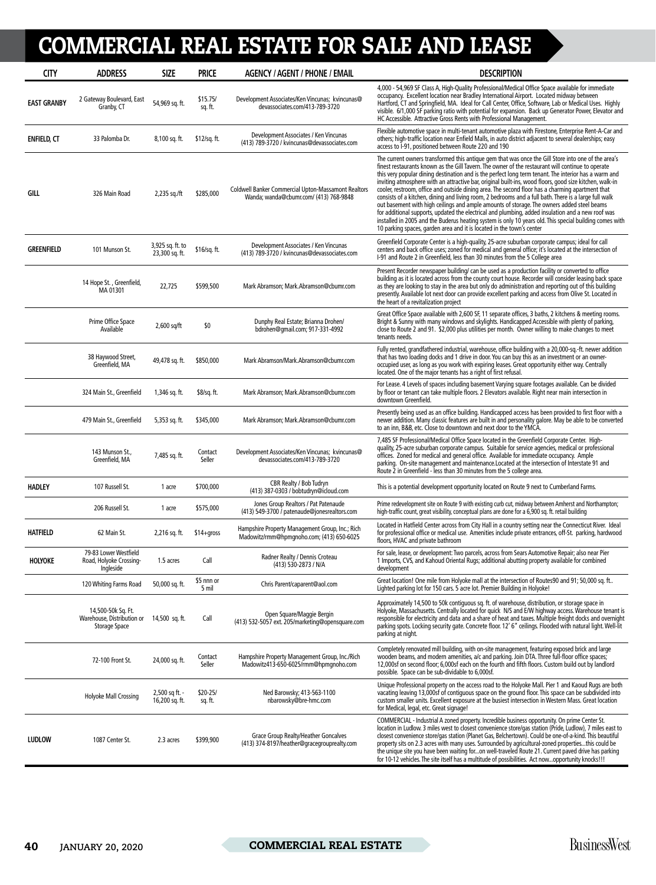| <b>CITY</b>        | <b>ADDRESS</b>                                                    | <b>SIZE</b>                        | <b>PRICE</b>        | <b>AGENCY / AGENT / PHONE / EMAIL</b>                                                                | <b>DESCRIPTION</b>                                                                                                                                                                                                                                                                                                                                                                                                                                                                                                                                                                                                                                                                                                                                                                                                                                                                                                                                                                                                               |
|--------------------|-------------------------------------------------------------------|------------------------------------|---------------------|------------------------------------------------------------------------------------------------------|----------------------------------------------------------------------------------------------------------------------------------------------------------------------------------------------------------------------------------------------------------------------------------------------------------------------------------------------------------------------------------------------------------------------------------------------------------------------------------------------------------------------------------------------------------------------------------------------------------------------------------------------------------------------------------------------------------------------------------------------------------------------------------------------------------------------------------------------------------------------------------------------------------------------------------------------------------------------------------------------------------------------------------|
| <b>EAST GRANBY</b> | 2 Gateway Boulevard, East<br>Granby, CT                           | 54,969 sq. ft.                     | \$15.75/<br>sq. ft. | Development Associates/Ken Vincunas; kvincunas@<br>devassociates.com/413-789-3720                    | 4,000 - 54,969 SF Class A, High-Quality Professional/Medical Office Space available for immediate<br>occupancy. Excellent location near Bradley International Airport. Located midway between<br>Hartford, CT and Springfield, MA. Ideal for Call Center, Office, Software, Lab or Medical Uses. Highly<br>visible. 6/1,000 SF parking ratio with potential for expansion. Back up Generator Power, Elevator and<br>HC Accessible. Attractive Gross Rents with Professional Management.                                                                                                                                                                                                                                                                                                                                                                                                                                                                                                                                          |
| <b>ENFIELD, CT</b> | 33 Palomba Dr.                                                    | 8,100 sq. ft.                      | \$12/sq. ft.        | Development Associates / Ken Vincunas<br>(413) 789-3720 / kvincunas@devassociates.com                | Flexible automotive space in multi-tenant automotive plaza with Firestone, Enterprise Rent-A-Car and<br>others; high-traffic location near Enfield Malls, in auto district adjacent to several dealerships; easy<br>access to I-91, positioned between Route 220 and 190                                                                                                                                                                                                                                                                                                                                                                                                                                                                                                                                                                                                                                                                                                                                                         |
| GILL               | 326 Main Road                                                     | 2,235 sq./ft                       | \$285,000           | <b>Coldwell Banker Commercial Upton-Massamont Realtors</b><br>Wanda; wanda@cbumr.com/ (413) 768-9848 | The current owners transformed this antique gem that was once the Gill Store into one of the area's<br>finest restaurants known as the Gill Tavern. The owner of the restaurant will continue to operate<br>this very popular dining destination and is the perfect long term tenant. The interior has a warm and<br>inviting atmosphere with an attractive bar, original built-ins, wood floors, good size kitchen, walk-in<br>cooler, restroom, office and outside dining area. The second floor has a charming apartment that<br>consists of a kitchen, dining and living room, 2 bedrooms and a full bath. There is a large full walk<br>out basement with high ceilings and ample amounts of storage. The owners added steel beams<br>for additional supports, updated the electrical and plumbing, added insulation and a new roof was<br>installed in 2005 and the Buderus heating system is only 10 years old. This special building comes with<br>10 parking spaces, garden area and it is located in the town's center |
| <b>GREENFIELD</b>  | 101 Munson St.                                                    | 3,925 sq. ft. to<br>23,300 sq. ft. | \$16/sq. ft.        | Development Associates / Ken Vincunas<br>(413) 789-3720 / kvincunas@devassociates.com                | Greenfield Corporate Center is a high-quality, 25-acre suburban corporate campus; ideal for call<br>centers and back office uses; zoned for medical and general office; it's located at the intersection of<br>I-91 and Route 2 in Greenfield, less than 30 minutes from the 5 College area                                                                                                                                                                                                                                                                                                                                                                                                                                                                                                                                                                                                                                                                                                                                      |
|                    | 14 Hope St., Greenfield,<br>MA 01301                              | 22,725                             | \$599,500           | Mark Abramson; Mark.Abramson@cbumr.com                                                               | Present Recorder newspaper building/can be used as a production facility or converted to office<br>building as it is located across from the county court house. Recorder will consider leasing back space<br>as they are looking to stay in the area but only do administration and reporting out of this building<br>presently. Available lot next door can provide excellent parking and access from Olive St. Located in<br>the heart of a revitalization project                                                                                                                                                                                                                                                                                                                                                                                                                                                                                                                                                            |
|                    | Prime Office Space<br>Available                                   | $2,600$ sq/ft                      | \$0                 | Dunphy Real Estate; Brianna Drohen/<br>bdrohen@qmail.com; 917-331-4992                               | Great Office Space available with 2,600 SF, 11 separate offices, 3 baths, 2 kitchens & meeting rooms.<br>Bright & Sunny with many windows and skylights. Handicapped Accessible with plenty of parking,<br>close to Route 2 and 91. \$2,000 plus utilities per month. Owner willing to make changes to meet<br>tenants needs.                                                                                                                                                                                                                                                                                                                                                                                                                                                                                                                                                                                                                                                                                                    |
|                    | 38 Haywood Street,<br>Greenfield, MA                              | 49,478 sq. ft.                     | \$850,000           | Mark Abramson/Mark.Abramson@cbumr.com                                                                | Fully rented, grandfathered industrial, warehouse, office building with a 20,000-sg.-ft. newer addition<br>that has two loading docks and 1 drive in door. You can buy this as an investment or an owner-<br>occupied user, as long as you work with expiring leases. Great opportunity either way. Centrally<br>located. One of the major tenants has a right of first refusal.                                                                                                                                                                                                                                                                                                                                                                                                                                                                                                                                                                                                                                                 |
|                    | 324 Main St., Greenfield                                          | 1,346 sq. ft.                      | \$8/sq. ft.         | Mark Abramson; Mark.Abramson@cbumr.com                                                               | For Lease. 4 Levels of spaces including basement Varying square footages available. Can be divided<br>by floor or tenant can take multiple floors. 2 Elevators available. Right near main intersection in<br>downtown Greenfield.                                                                                                                                                                                                                                                                                                                                                                                                                                                                                                                                                                                                                                                                                                                                                                                                |
|                    | 479 Main St., Greenfield                                          | 5,353 sq. ft.                      | \$345,000           | Mark Abramson; Mark.Abramson@cbumr.com                                                               | Presently being used as an office building. Handicapped access has been provided to first floor with a<br>newer addition. Many classic features are built in and personality galore. May be able to be converted<br>to an inn, B&B, etc. Close to downtown and next door to the YMCA.                                                                                                                                                                                                                                                                                                                                                                                                                                                                                                                                                                                                                                                                                                                                            |
|                    | 143 Munson St.,<br>Greenfield, MA                                 | 7,485 sq. ft.                      | Contact<br>Seller   | Development Associates/Ken Vincunas; kvincunas@<br>devassociates.com/413-789-3720                    | 7,485 SF Professional/Medical Office Space located in the Greenfield Corporate Center. High-<br>quality, 25-acre suburban corporate campus. Suitable for service agencies, medical or professional<br>offices. Zoned for medical and general office. Available for immediate occupancy. Ample<br>parking. On-site management and maintenance.Located at the intersection of Interstate 91 and<br>Route 2 in Greenfield - less than 30 minutes from the 5 college area.                                                                                                                                                                                                                                                                                                                                                                                                                                                                                                                                                           |
| <b>HADLEY</b>      | 107 Russell St.                                                   | 1 acre                             | \$700,000           | CBR Realty / Bob Tudryn<br>(413) 387-0303 / bobtudryn@icloud.com                                     | This is a potential development opportunity located on Route 9 next to Cumberland Farms.                                                                                                                                                                                                                                                                                                                                                                                                                                                                                                                                                                                                                                                                                                                                                                                                                                                                                                                                         |
|                    | 206 Russell St.                                                   | 1 acre                             | \$575,000           | Jones Group Realtors / Pat Patenaude<br>(413) 549-3700 / patenaude@jonesrealtors.com                 | Prime redevelopment site on Route 9 with existing curb cut, midway between Amherst and Northampton;<br>high-traffic count, great visibility, conceptual plans are done for a 6,900 sq. ft. retail building                                                                                                                                                                                                                                                                                                                                                                                                                                                                                                                                                                                                                                                                                                                                                                                                                       |
| <b>HATFIELD</b>    | 62 Main St.                                                       | 2,216 sq. ft.                      | $$14+qross$         | Hampshire Property Management Group, Inc.; Rich<br>Madowitz/rmm@hpmgnoho.com; (413) 650-6025         | Located in Hatfield Center across from City Hall in a country setting near the Connecticut River. Ideal<br>for professional office or medical use. Amenities include private entrances, off-St. parking, hardwood<br>floors, HVAC and private bathroom                                                                                                                                                                                                                                                                                                                                                                                                                                                                                                                                                                                                                                                                                                                                                                           |
| HOLYOKE            | 79-83 Lower Westfield<br>Road, Holyoke Crossing-<br>Ingleside     | 1.5 acres                          | Call                | Radner Realty / Dennis Croteau<br>(413) 530-2873 / N/A                                               | For sale, lease, or development: Two parcels, across from Sears Automotive Repair; also near Pier<br>1 Imports, CVS, and Kahoud Oriental Rugs; additional abutting property available for combined<br>development                                                                                                                                                                                                                                                                                                                                                                                                                                                                                                                                                                                                                                                                                                                                                                                                                |
|                    | 120 Whiting Farms Road                                            | 50,000 sq. ft.                     | \$5 nnn or<br>5 mil | Chris Parent/caparent@aol.com                                                                        | Great location! One mile from Holyoke mall at the intersection of Routes90 and 91; 50,000 sq. ft<br>Lighted parking lot for 150 cars. 5 acre lot. Premier Building in Holyoke!                                                                                                                                                                                                                                                                                                                                                                                                                                                                                                                                                                                                                                                                                                                                                                                                                                                   |
|                    | 14,500-50k Sq. Ft.<br>Warehouse, Distribution or<br>Storage Space | 14,500 sq. ft.                     | Call                | Open Square/Maggie Bergin<br>(413) 532-5057 ext. 205/marketing@opensquare.com                        | Approximately 14,500 to 50k contiguous sq. ft. of warehouse, distribution, or storage space in<br>Holyoke, Massachusetts. Centrally located for quick N/S and E/W highway access. Warehouse tenant is<br>responsible for electricity and data and a share of heat and taxes. Multiple freight docks and overnight<br>parking spots. Locking security gate. Concrete floor. 12' 6" ceilings. Flooded with natural light. Well-lit<br>parking at night.                                                                                                                                                                                                                                                                                                                                                                                                                                                                                                                                                                            |
|                    | 72-100 Front St.                                                  | 24,000 sq. ft.                     | Contact<br>Seller   | Hampshire Property Management Group, Inc./Rich<br>Madowitz413-650-6025/rmm@hpmgnoho.com              | Completely renovated mill building, with on-site management, featuring exposed brick and large<br>wooden beams, and modern amenities, a/c and parking. Join DTA. Three full-floor office spaces;<br>12,000sf on second floor; 6,000sf each on the fourth and fifth floors. Custom build out by landlord<br>possible. Space can be sub-dividable to 6,000sf.                                                                                                                                                                                                                                                                                                                                                                                                                                                                                                                                                                                                                                                                      |
|                    | Holyoke Mall Crossing                                             | 2,500 sq ft. -<br>16,200 sq. ft.   | \$20-25/<br>sq. ft. | Ned Barowsky; 413-563-1100<br>nbarowsky@bre-hmc.com                                                  | Unique Professional property on the access road to the Holyoke Mall. Pier 1 and Kaoud Rugs are both<br>vacating leaving 13,000sf of contiguous space on the ground floor. This space can be subdivided into<br>custom smaller units. Excellent exposure at the busiest intersection in Western Mass. Great location<br>for Medical, legal, etc. Great signage!                                                                                                                                                                                                                                                                                                                                                                                                                                                                                                                                                                                                                                                                   |
| <b>LUDLOW</b>      | 1087 Center St.                                                   | 2.3 acres                          | \$399,900           | Grace Group Realty/Heather Goncalves<br>(413) 374-8197/heather@gracegrouprealty.com                  | COMMERCIAL - Industrial A zoned property. Incredible business opportunity. On prime Center St.<br>location in Ludlow. 3 miles west to closest convenience store/gas station (Pride, Ludlow), 7 miles east to<br>closest convenience store/gas station (Planet Gas, Belchertown). Could be one-of-a-kind. This beautiful<br>property sits on 2.3 acres with many uses. Surrounded by agricultural-zoned propertiesthis could be<br>the unique site you have been waiting foron well-traveled Route 21. Current paved drive has parking<br>for 10-12 vehicles. The site itself has a multitude of possibilities. Act nowopportunity knocks!!!                                                                                                                                                                                                                                                                                                                                                                                      |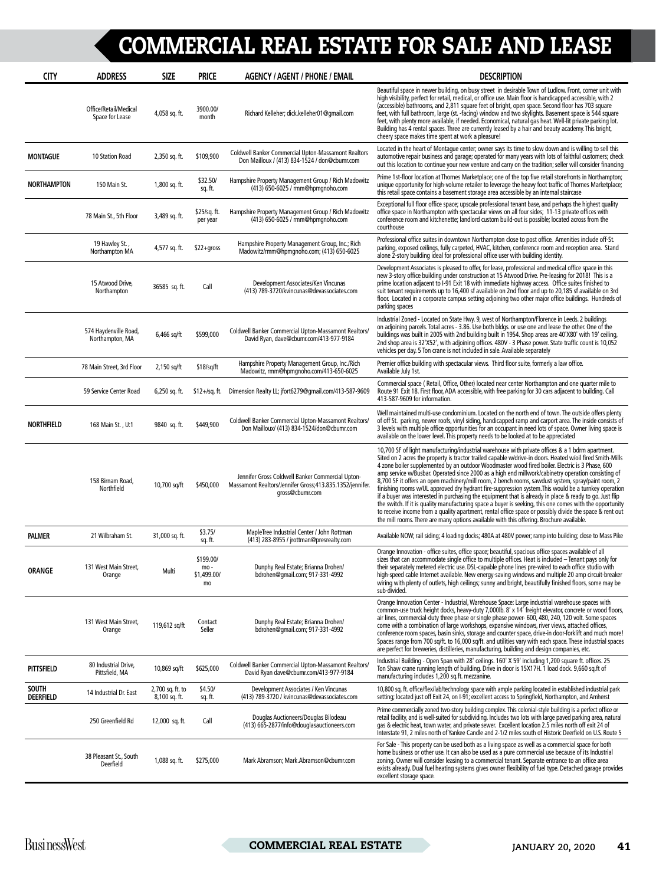| <b>CITY</b>                      | <b>ADDRESS</b>                           | <b>SIZE</b>                       | <b>PRICE</b>                          | <b>AGENCY / AGENT / PHONE / EMAIL</b>                                                                                           | <b>DESCRIPTION</b>                                                                                                                                                                                                                                                                                                                                                                                                                                                                                                                                                                                                                                                                                                                                                                                                                                                                                                                                                                                                                                                 |
|----------------------------------|------------------------------------------|-----------------------------------|---------------------------------------|---------------------------------------------------------------------------------------------------------------------------------|--------------------------------------------------------------------------------------------------------------------------------------------------------------------------------------------------------------------------------------------------------------------------------------------------------------------------------------------------------------------------------------------------------------------------------------------------------------------------------------------------------------------------------------------------------------------------------------------------------------------------------------------------------------------------------------------------------------------------------------------------------------------------------------------------------------------------------------------------------------------------------------------------------------------------------------------------------------------------------------------------------------------------------------------------------------------|
|                                  | Office/Retail/Medical<br>Space for Lease | 4,058 sq. ft.                     | 3900.00/<br>month                     | Richard Kelleher; dick.kelleher01@gmail.com                                                                                     | Beautiful space in newer building, on busy street in desirable Town of Ludlow. Front, corner unit with<br>high visibility, perfect for retail, medical, or office use. Main floor is handicapped accessible, with 2<br>(accessible) bathrooms, and 2,811 square feet of bright, open space. Second floor has 703 square<br>feet, with full bathroom, large (st. -facing) window and two skylights. Basement space is 544 square<br>feet, with plenty more available, if needed. Economical, natural gas heat. Well-lit private parking lot.<br>Building has 4 rental spaces. Three are currently leased by a hair and beauty academy. This bright,<br>cheery space makes time spent at work a pleasure!                                                                                                                                                                                                                                                                                                                                                            |
| <b>MONTAGUE</b>                  | 10 Station Road                          | 2,350 sq. ft.                     | \$109,900                             | <b>Coldwell Banker Commercial Upton-Massamont Realtors</b><br>Don Mailloux / (413) 834-1524 / don@cbumr.com                     | Located in the heart of Montague center; owner says its time to slow down and is willing to sell this<br>automotive repair business and garage; operated for many years with lots of faithful customers; check<br>out this location to continue your new venture and carry on the tradition; seller will consider financing                                                                                                                                                                                                                                                                                                                                                                                                                                                                                                                                                                                                                                                                                                                                        |
| NORTHAMPTON                      | 150 Main St.                             | 1,800 sq. ft.                     | \$32.50/<br>sq. ft.                   | Hampshire Property Management Group / Rich Madowitz<br>(413) 650-6025 / rmm@hpmqnoho.com                                        | Prime 1st-floor location at Thornes Marketplace; one of the top five retail storefronts in Northampton;<br>unique opportunity for high-volume retailer to leverage the heavy foot traffic of Thornes Marketplace;<br>this retail space contains a basement storage area accessible by an internal staircase                                                                                                                                                                                                                                                                                                                                                                                                                                                                                                                                                                                                                                                                                                                                                        |
|                                  | 78 Main St., 5th Floor                   | 3,489 sq. ft.                     | \$25/sq. ft.<br>per year              | Hampshire Property Management Group / Rich Madowitz<br>(413) 650-6025 / rmm@hpmqnoho.com                                        | Exceptional full floor office space; upscale professional tenant base, and perhaps the highest quality<br>office space in Northampton with spectacular views on all four sides; 11-13 private offices with<br>conference room and kitchenette; landlord custom build-out is possible; located across from the<br>courthouse                                                                                                                                                                                                                                                                                                                                                                                                                                                                                                                                                                                                                                                                                                                                        |
|                                  | 19 Hawley St.,<br>Northampton MA         | 4,577 sq. ft.                     | $$22+gross$                           | Hampshire Property Management Group, Inc.; Rich<br>Madowitz/rmm@hpmgnoho.com; (413) 650-6025                                    | Professional office suites in downtown Northampton close to post office. Amenities include off-St.<br>parking, exposed ceilings, fully carpeted, HVAC, kitchen, conference room and reception area. Stand<br>alone 2-story building ideal for professional office user with building identity.                                                                                                                                                                                                                                                                                                                                                                                                                                                                                                                                                                                                                                                                                                                                                                     |
|                                  | 15 Atwood Drive,<br>Northampton          | 36585 sq. ft.                     | Call                                  | Development Associates/Ken Vincunas<br>(413) 789-3720/kvincunas@devassociates.com                                               | Development Associates is pleased to offer, for lease, professional and medical office space in this<br>new 3-story office building under construction at 15 Atwood Drive. Pre-leasing for 2018! This is a<br>prime location adjacent to I-91 Exit 18 with immediate highway access. Office suites finished to<br>suit tenant requirements up to 16,400 sf available on 2nd floor and up to 20,185 sf available on 3rd<br>floor. Located in a corporate campus setting adjoining two other major office buildings. Hundreds of<br>parking spaces                                                                                                                                                                                                                                                                                                                                                                                                                                                                                                                   |
|                                  | 574 Haydenville Road,<br>Northampton, MA | $6,466$ sq/ft                     | \$599,000                             | Coldwell Banker Commercial Upton-Massamont Realtors/<br>David Ryan, dave@cbumr.com/413-977-9184                                 | Industrial Zoned - Located on State Hwy. 9, west of Northampton/Florence in Leeds. 2 buildings<br>on adjoining parcels. Total acres - 3.86. Use both bldgs. or use one and lease the other. One of the<br>buildings was built in 2005 with 2nd building built in 1954. Shop areas are 40'X80' with 19' ceiling,<br>2nd shop area is 32'X52', with adjoining offices. 480V - 3 Phase power. State traffic count is 10,052<br>vehicles per day. 5 Ton crane is not included in sale. Available separately                                                                                                                                                                                                                                                                                                                                                                                                                                                                                                                                                            |
|                                  | 78 Main Street, 3rd Floor                | 2,150 sq/ft                       | \$18/sq/ft                            | Hampshire Property Management Group, Inc./Rich<br>Madowitz, rmm@hpmqnoho.com/413-650-6025                                       | Premier office building with spectacular views. Third floor suite, formerly a law office.<br>Available July 1st.                                                                                                                                                                                                                                                                                                                                                                                                                                                                                                                                                                                                                                                                                                                                                                                                                                                                                                                                                   |
|                                  | 59 Service Center Road                   | $6,250$ sq. ft.                   | \$12+/sq. ft.                         | Dimension Realty LL; jfort6279@qmail.com/413-587-9609                                                                           | Commercial space (Retail, Office, Other) located near center Northampton and one quarter mile to<br>Route 91 Exit 18. First floor, ADA accessible, with free parking for 30 cars adjacent to building. Call<br>413-587-9609 for information.                                                                                                                                                                                                                                                                                                                                                                                                                                                                                                                                                                                                                                                                                                                                                                                                                       |
| <b>NORTHFIELD</b>                | 168 Main St., U:1                        | 9840 sq. ft.                      | \$449,900                             | Coldwell Banker Commercial Upton-Massamont Realtors/<br>Don Mailloux/ (413) 834-1524/don@cbumr.com                              | Well maintained multi-use condominium. Located on the north end of town. The outside offers plenty<br>of off St. parking, newer roofs, vinyl siding, handicapped ramp and carport area. The inside consists of<br>3 levels with multiple office opportunities for an occupant in need lots of space. Owner living space is<br>available on the lower level. This property needs to be looked at to be appreciated                                                                                                                                                                                                                                                                                                                                                                                                                                                                                                                                                                                                                                                  |
|                                  | 158 Birnam Road,<br>Northfield           | 10,700 sq/ft                      | \$450,000                             | Jennifer Gross Coldwell Banker Commercial Upton-<br>Massamont Realtors/Jennifer Gross;413.835.1352/jennifer.<br>qross@cbumr.com | 10,700 SF of light manufacturing/industrial warehouse with private offices & a 1 bdrm apartment.<br>Sited on 2 acres the property is tractor trailed capable w/drive-in doors. Heated w/oil fired Smith-Mills<br>4 zone boiler supplemented by an outdoor Woodmaster wood fired boiler. Electric is 3 Phase, 600<br>amp service w/Busbar. Operated since 2000 as a high end millwork/cabinetry operation consisting of<br>8,700 SF it offers an open machinery/mill room, 2 bench rooms, sawdust system, spray/paint room, 2<br>finishing rooms w/UL approved dry hydrant fire-suppression system. This would be a turnkey operation<br>if a buyer was interested in purchasing the equipment that is already in place & ready to go. Just flip<br>the switch. If it is quality manufacturing space a buyer is seeking, this one comes with the opportunity<br>to receive income from a quality apartment, rental office space or possibly divide the space & rent out<br>the mill rooms. There are many options available with this offering. Brochure available. |
| <b>PALMER</b>                    | 21 Wilbraham St.                         | 31,000 sq. ft.                    | \$3.75/<br>sq. ft.                    | MapleTree Industrial Center / John Rottman<br>(413) 283-8955 / jrottman@presrealty.com                                          | Available NOW; rail siding; 4 loading docks; 480A at 480V power; ramp into building; close to Mass Pike                                                                                                                                                                                                                                                                                                                                                                                                                                                                                                                                                                                                                                                                                                                                                                                                                                                                                                                                                            |
| <b>ORANGE</b>                    | 131 West Main Street,<br>Orange          | Multi                             | \$199.00/<br>mo-<br>\$1,499.00/<br>mo | Dunphy Real Estate; Brianna Drohen/<br>bdrohen@qmail.com; 917-331-4992                                                          | Orange Innovation - office suites, office space; beautiful, spacious office spaces available of all<br>sizes that can accommodate single office to multiple offices. Heat is included - Tenant pays only for<br>their separately metered electric use. DSL-capable phone lines pre-wired to each office studio with<br>high-speed cable Internet available. New energy-saving windows and multiple 20 amp circuit-breaker<br>wiring with plenty of outlets, high ceilings; sunny and bright, beautifully finished floors, some may be<br>sub-divided.                                                                                                                                                                                                                                                                                                                                                                                                                                                                                                              |
|                                  | 131 West Main Street,<br>Orange          | 119,612 sq/ft                     | Contact<br>Seller                     | Dunphy Real Estate; Brianna Drohen/<br>bdrohen@qmail.com; 917-331-4992                                                          | Orange Innovation Center - Industrial, Warehouse Space: Large industrial warehouse spaces with<br>common-use truck height docks, heavy-duty 7,000lb. 8' x 14' freight elevator, concrete or wood floors,<br>air lines, commercial-duty three phase or single phase power- 600, 480, 240, 120 volt. Some spaces<br>come with a combination of large workshops, expansive windows, river views, attached offices,<br>conference room spaces, basin sinks, storage and counter space, drive-in door-forklift and much more!<br>Spaces range from 700 sq/ft. to 16,000 sq/ft. and utilities vary with each space. These industrial spaces<br>are perfect for breweries, distilleries, manufacturing, building and design companies, etc.                                                                                                                                                                                                                                                                                                                               |
| <b>PITTSFIELD</b>                | 80 Industrial Drive,<br>Pittsfield, MA   | 10,869 sq/ft                      | \$625,000                             | Coldwell Banker Commercial Upton-Massamont Realtors/<br>David Ryan dave@cbumr.com/413-977-9184                                  | Industrial Building - Open Span with 28' ceilings. 160' X 59' including 1,200 square ft. offices. 25<br>Ton Shaw crane running length of building. Drive in door is 15X17H. 1 load dock. 9,660 sq.ft of<br>manufacturing includes 1,200 sq.ft. mezzanine.                                                                                                                                                                                                                                                                                                                                                                                                                                                                                                                                                                                                                                                                                                                                                                                                          |
| <b>SOUTH</b><br><b>DEERFIELD</b> | 14 Industrial Dr. East                   | 2,700 sq. ft. to<br>8,100 sq. ft. | \$4.50/<br>sq. ft.                    | Development Associates / Ken Vincunas<br>(413) 789-3720 / kvincunas@devassociates.com                                           | 10,800 sq. ft. office/flex/lab/technology space with ample parking located in established industrial park<br>setting; located just off Exit 24, on I-91; excellent access to Springfield, Northampton, and Amherst                                                                                                                                                                                                                                                                                                                                                                                                                                                                                                                                                                                                                                                                                                                                                                                                                                                 |
|                                  | 250 Greenfield Rd                        | 12,000 sq. ft.                    | Call                                  | Douglas Auctioneers/Douglas Bilodeau<br>(413) 665-2877/info@douglasauctioneers.com                                              | Prime commercially zoned two-story building complex. This colonial-style building is a perfect office or<br>retail facility, and is well-suited for subdividing. Includes two lots with large paved parking area, natural<br>gas & electric heat, town water, and private sewer. Excellent location 2.5 miles north off exit 24 of<br>Interstate 91, 2 miles north of Yankee Candle and 2-1/2 miles south of Historic Deerfield on U.S. Route 5                                                                                                                                                                                                                                                                                                                                                                                                                                                                                                                                                                                                                    |
|                                  | 38 Pleasant St., South<br>Deerfield      | 1,088 sq. ft.                     | \$275,000                             | Mark Abramson; Mark.Abramson@cbumr.com                                                                                          | For Sale - This property can be used both as a living space as well as a commercial space for both<br>home business or other use. It can also be used as a pure commercial use because of its Industrial<br>zoning. Owner will consider leasing to a commercial tenant. Separate entrance to an office area<br>exists already. Dual fuel heating systems gives owner flexibility of fuel type. Detached garage provides<br>excellent storage space.                                                                                                                                                                                                                                                                                                                                                                                                                                                                                                                                                                                                                |